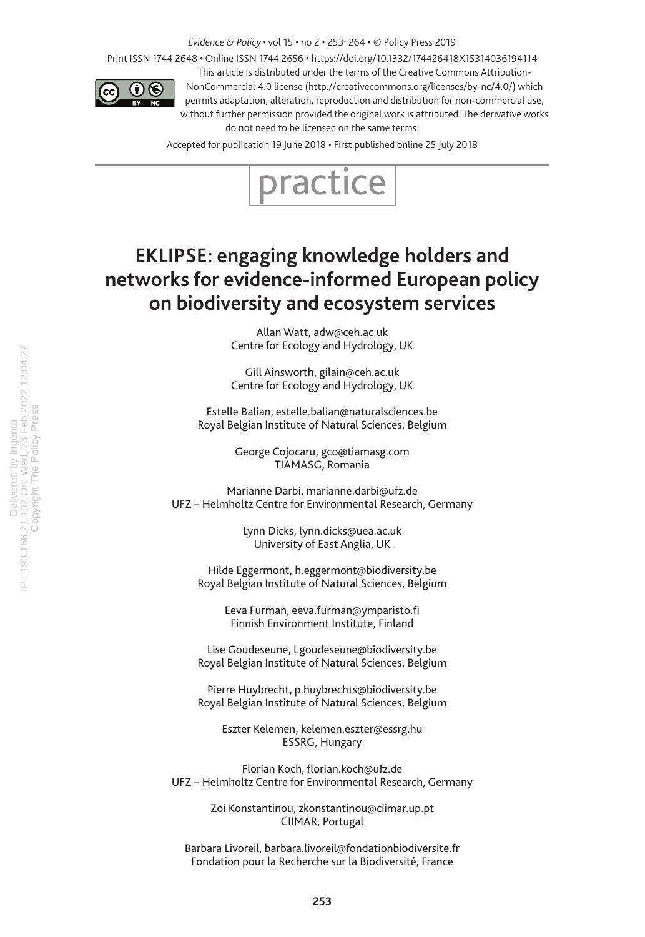*Evidence & Policy* • vol 15 • no 2 • 253–264 • © Policy Press 2019

Print ISSN 1744 2648 • Online ISSN 1744 2656 • https://doi.org/10.1332/174426418X15314036194114



This article is distributed under the terms of the Creative Commons Attribution-NonCommercial 4.0 license (http://creativecommons.org/licenses/by-nc/4.0/) which permits adaptation, alteration, reproduction and distribution for non-commercial use, without further permission provided the original work is attributed. The derivative works do not need to be licensed on the same terms.

Accepted for publication 19 June 2018 • First published online 25 July 2018



# **EKLIPSE: engaging knowledge holders and networks for evidence-informed European policy on biodiversity and ecosystem services**

Allan Watt, adw@ceh.ac.uk Centre for Ecology and Hydrology, UK

Gill Ainsworth, gilain@ceh.ac.uk Centre for Ecology and Hydrology, UK

Estelle Balian, estelle.balian@naturalsciences.be Royal Belgian Institute of Natural Sciences, Belgium

> George Cojocaru, gco@tiamasg.com TIAMASG, Romania

Marianne Darbi, marianne.darbi@ufz.de UFZ – Helmholtz Centre for Environmental Research, Germany

> Lynn Dicks, lynn.dicks@uea.ac.uk University of East Anglia, UK

Hilde Eggermont, h.eggermont@biodiversity.be Royal Belgian Institute of Natural Sciences, Belgium

> Eeva Furman, eeva.furman@ymparisto.fi Finnish Environment Institute, Finland

Lise Goudeseune, l.goudeseune@biodiversity.be Royal Belgian Institute of Natural Sciences, Belgium

Pierre Huybrecht, p.huybrechts@biodiversity.be Royal Belgian Institute of Natural Sciences, Belgium

Eszter Kelemen, kelemen.eszter@essrg.hu ESSRG, Hungary

Florian Koch, florian.koch@ufz.de UFZ – Helmholtz Centre for Environmental Research, Germany

> Zoi Konstantinou, zkonstantinou@ciimar.up.pt CIIMAR, Portugal

Barbara Livoreil, barbara.livoreil@fondationbiodiversite.fr Fondation pour la Recherche sur la Biodiversité, France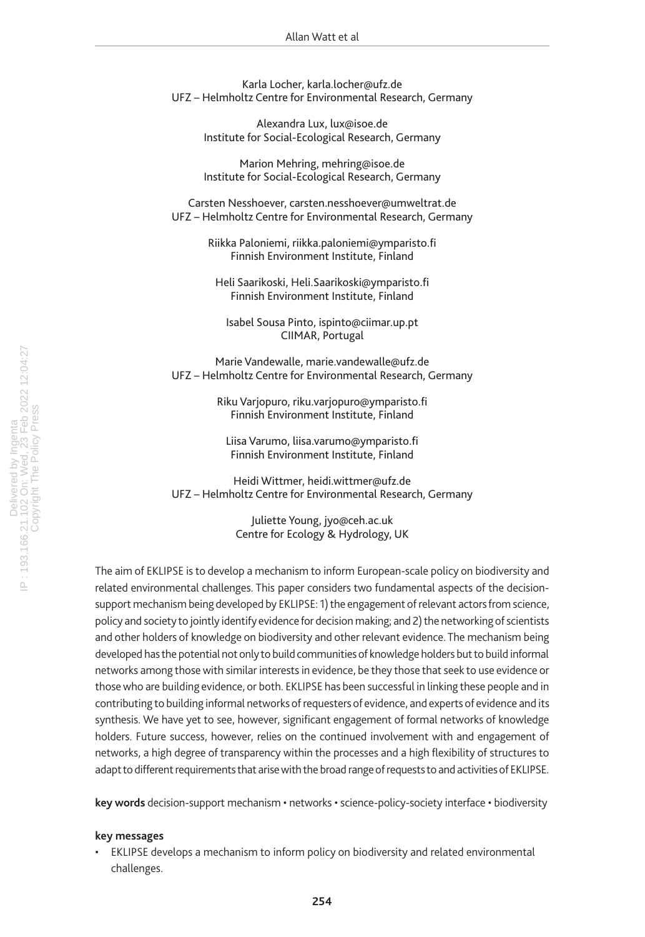Karla Locher, karla.locher@ufz.de UFZ – Helmholtz Centre for Environmental Research, Germany

> Alexandra Lux, lux@isoe.de Institute for Social-Ecological Research, Germany

> Marion Mehring, mehring@isoe.de Institute for Social-Ecological Research, Germany

Carsten Nesshoever, carsten.nesshoever@umweltrat.de UFZ – Helmholtz Centre for Environmental Research, Germany

> Riikka Paloniemi, riikka.paloniemi@ymparisto.fi Finnish Environment Institute, Finland

Heli Saarikoski, Heli.Saarikoski@ymparisto.fi Finnish Environment Institute, Finland

Isabel Sousa Pinto, ispinto@ciimar.up.pt CIIMAR, Portugal

Marie Vandewalle, marie.vandewalle@ufz.de UFZ – Helmholtz Centre for Environmental Research, Germany

> Riku Varjopuro, riku.varjopuro@ymparisto.fi Finnish Environment Institute, Finland

Liisa Varumo, liisa.varumo@ymparisto.fi Finnish Environment Institute, Finland

Heidi Wittmer, heidi.wittmer@ufz.de UFZ – Helmholtz Centre for Environmental Research, Germany

> Juliette Young, jyo@ceh.ac.uk Centre for Ecology & Hydrology, UK

The aim of EKLIPSE is to develop a mechanism to inform European-scale policy on biodiversity and related environmental challenges. This paper considers two fundamental aspects of the decisionsupport mechanism being developed by EKLIPSE: 1) the engagement of relevant actors from science, policy and society to jointly identify evidence for decision making; and 2) the networking of scientists and other holders of knowledge on biodiversity and other relevant evidence. The mechanism being developed has the potential not only to build communities of knowledge holders but to build informal networks among those with similar interests in evidence, be they those that seek to use evidence or those who are building evidence, or both. EKLIPSE has been successful in linking these people and in contributing to building informal networks of requesters of evidence, and experts of evidence and its synthesis. We have yet to see, however, significant engagement of formal networks of knowledge holders. Future success, however, relies on the continued involvement with and engagement of networks, a high degree of transparency within the processes and a high flexibility of structures to adapt to different requirements that arise with the broad range of requests to and activities of EKLIPSE.

**key words** decision-support mechanism • networks • science-policy-society interface • biodiversity

### **key messages**

• EKLIPSE develops a mechanism to inform policy on biodiversity and related environmental challenges.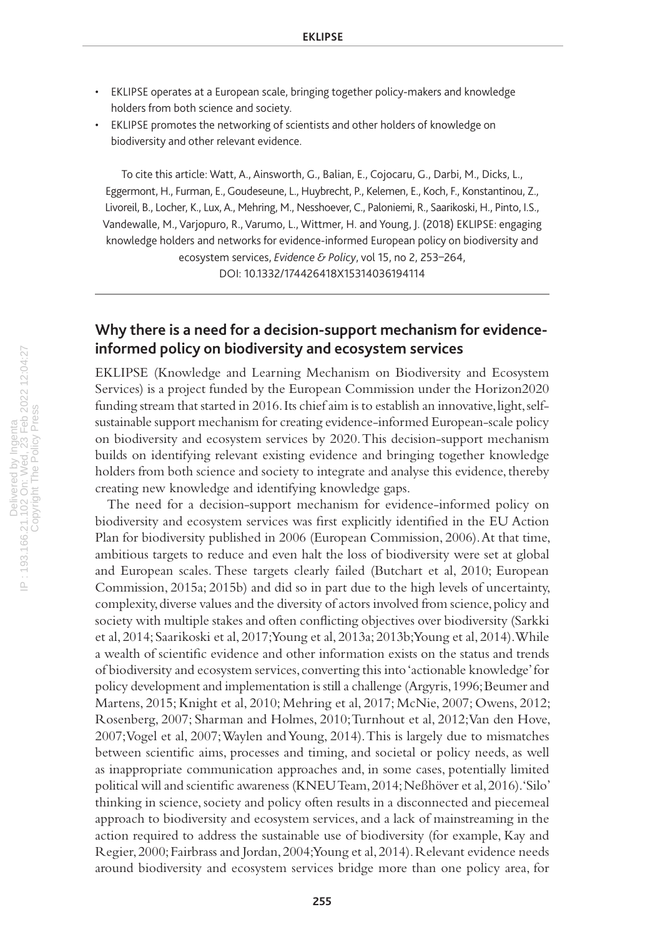- EKLIPSE operates at a European scale, bringing together policy-makers and knowledge holders from both science and society.
- EKLIPSE promotes the networking of scientists and other holders of knowledge on biodiversity and other relevant evidence.

To cite this article: Watt, A., Ainsworth, G., Balian, E., Cojocaru, G., Darbi, M., Dicks, L., Eggermont, H., Furman, E., Goudeseune, L., Huybrecht, P., Kelemen, E., Koch, F., Konstantinou, Z., Livoreil, B., Locher, K., Lux, A., Mehring, M., Nesshoever, C., Paloniemi, R., Saarikoski, H., Pinto, I.S., Vandewalle, M., Varjopuro, R., Varumo, L., Wittmer, H. and Young, J. (2018) EKLIPSE: engaging knowledge holders and networks for evidence-informed European policy on biodiversity and ecosystem services, *Evidence & Policy*, vol 15, no 2, 253–264, DOI: 10.1332/174426418X15314036194114

# **Why there is a need for a decision-support mechanism for evidenceinformed policy on biodiversity and ecosystem services**

EKLIPSE (Knowledge and Learning Mechanism on Biodiversity and Ecosystem Services) is a project funded by the European Commission under the Horizon2020 funding stream that started in 2016. Its chief aim is to establish an innovative, light, selfsustainable support mechanism for creating evidence-informed European-scale policy on biodiversity and ecosystem services by 2020. This decision-support mechanism builds on identifying relevant existing evidence and bringing together knowledge holders from both science and society to integrate and analyse this evidence, thereby creating new knowledge and identifying knowledge gaps.

The need for a decision-support mechanism for evidence-informed policy on biodiversity and ecosystem services was first explicitly identified in the EU Action Plan for biodiversity published in 2006 (European Commission, 2006). At that time, ambitious targets to reduce and even halt the loss of biodiversity were set at global and European scales. These targets clearly failed (Butchart et al, 2010; European Commission, 2015a; 2015b) and did so in part due to the high levels of uncertainty, complexity, diverse values and the diversity of actors involved from science, policy and society with multiple stakes and often conflicting objectives over biodiversity (Sarkki et al, 2014; Saarikoski et al, 2017; Young et al, 2013a; 2013b; Young et al, 2014). While a wealth of scientific evidence and other information exists on the status and trends of biodiversity and ecosystem services, converting this into 'actionable knowledge' for policy development and implementation is still a challenge (Argyris, 1996; Beumer and Martens, 2015; Knight et al, 2010; Mehring et al, 2017; McNie, 2007; Owens, 2012; Rosenberg, 2007; Sharman and Holmes, 2010; Turnhout et al, 2012; Van den Hove, 2007; Vogel et al, 2007; Waylen and Young, 2014). This is largely due to mismatches between scientific aims, processes and timing, and societal or policy needs, as well as inappropriate communication approaches and, in some cases, potentially limited political will and scientific awareness (KNEU Team, 2014; Neßhöver et al, 2016). 'Silo' thinking in science, society and policy often results in a disconnected and piecemeal approach to biodiversity and ecosystem services, and a lack of mainstreaming in the action required to address the sustainable use of biodiversity (for example, Kay and Regier, 2000; Fairbrass and Jordan, 2004; Young et al, 2014). Relevant evidence needs around biodiversity and ecosystem services bridge more than one policy area, for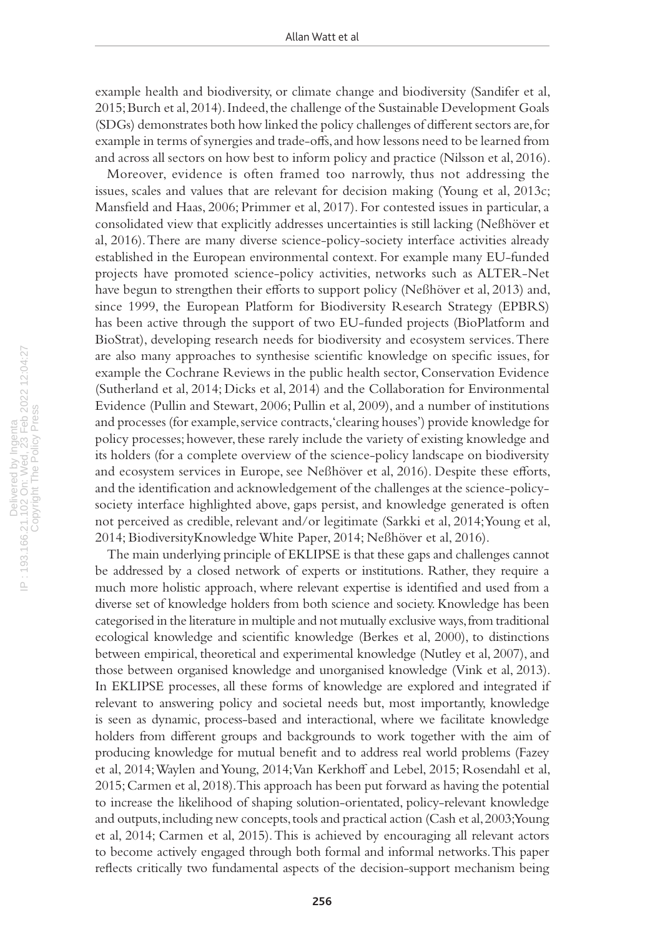example health and biodiversity, or climate change and biodiversity (Sandifer et al, 2015; Burch et al, 2014). Indeed, the challenge of the Sustainable Development Goals (SDGs) demonstrates both how linked the policy challenges of different sectors are, for example in terms of synergies and trade-offs, and how lessons need to be learned from and across all sectors on how best to inform policy and practice (Nilsson et al, 2016).

Moreover, evidence is often framed too narrowly, thus not addressing the issues, scales and values that are relevant for decision making (Young et al, 2013c; Mansfield and Haas, 2006; Primmer et al, 2017). For contested issues in particular, a consolidated view that explicitly addresses uncertainties is still lacking (Neßhöver et al, 2016). There are many diverse science-policy-society interface activities already established in the European environmental context. For example many EU-funded projects have promoted science-policy activities, networks such as ALTER-Net have begun to strengthen their efforts to support policy (Neßhöver et al, 2013) and, since 1999, the European Platform for Biodiversity Research Strategy (EPBRS) has been active through the support of two EU-funded projects (BioPlatform and BioStrat), developing research needs for biodiversity and ecosystem services. There are also many approaches to synthesise scientific knowledge on specific issues, for example the Cochrane Reviews in the public health sector, Conservation Evidence (Sutherland et al, 2014; Dicks et al, 2014) and the Collaboration for Environmental Evidence (Pullin and Stewart, 2006; Pullin et al, 2009), and a number of institutions and processes (for example, service contracts, 'clearing houses') provide knowledge for policy processes; however, these rarely include the variety of existing knowledge and its holders (for a complete overview of the science-policy landscape on biodiversity and ecosystem services in Europe, see Neßhöver et al, 2016). Despite these efforts, and the identification and acknowledgement of the challenges at the science-policysociety interface highlighted above, gaps persist, and knowledge generated is often not perceived as credible, relevant and/or legitimate (Sarkki et al, 2014; Young et al, 2014; BiodiversityKnowledge White Paper, 2014; Neßhöver et al, 2016).

The main underlying principle of EKLIPSE is that these gaps and challenges cannot be addressed by a closed network of experts or institutions. Rather, they require a much more holistic approach, where relevant expertise is identified and used from a diverse set of knowledge holders from both science and society. Knowledge has been categorised in the literature in multiple and not mutually exclusive ways, from traditional ecological knowledge and scientific knowledge (Berkes et al, 2000), to distinctions between empirical, theoretical and experimental knowledge (Nutley et al, 2007), and those between organised knowledge and unorganised knowledge (Vink et al, 2013). In EKLIPSE processes, all these forms of knowledge are explored and integrated if relevant to answering policy and societal needs but, most importantly, knowledge is seen as dynamic, process-based and interactional, where we facilitate knowledge holders from different groups and backgrounds to work together with the aim of producing knowledge for mutual benefit and to address real world problems (Fazey et al, 2014; Waylen and Young, 2014; Van Kerkhoff and Lebel, 2015; Rosendahl et al, 2015; Carmen et al, 2018). This approach has been put forward as having the potential to increase the likelihood of shaping solution-orientated, policy-relevant knowledge and outputs, including new concepts, tools and practical action (Cash et al, 2003; Young et al, 2014; Carmen et al, 2015). This is achieved by encouraging all relevant actors to become actively engaged through both formal and informal networks. This paper reflects critically two fundamental aspects of the decision-support mechanism being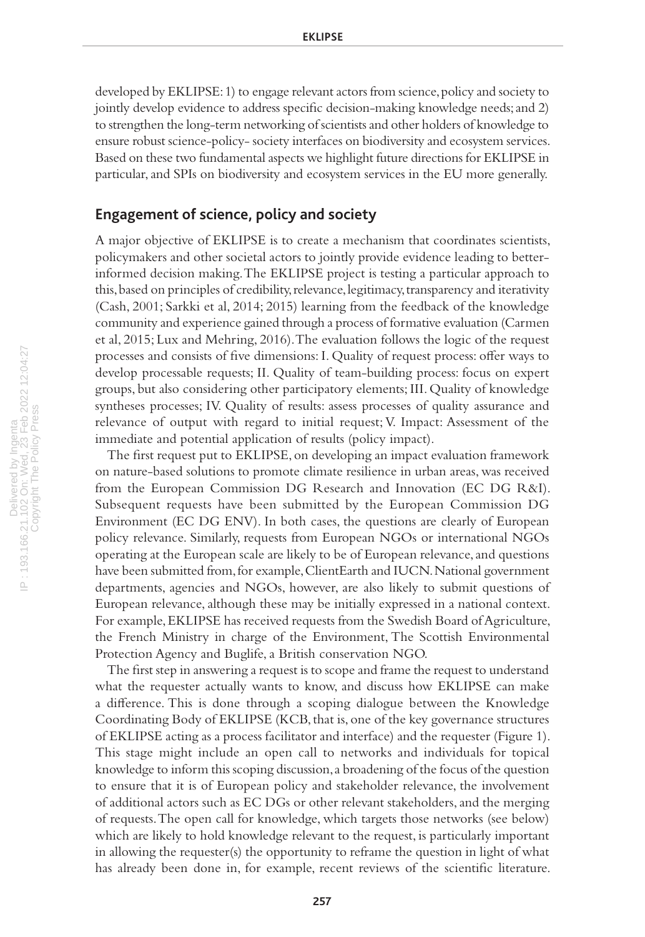developed by EKLIPSE: 1) to engage relevant actors from science, policy and society to jointly develop evidence to address specific decision-making knowledge needs; and 2) to strengthen the long-term networking of scientists and other holders of knowledge to ensure robust science-policy- society interfaces on biodiversity and ecosystem services. Based on these two fundamental aspects we highlight future directions for EKLIPSE in particular, and SPIs on biodiversity and ecosystem services in the EU more generally.

## **Engagement of science, policy and society**

A major objective of EKLIPSE is to create a mechanism that coordinates scientists, policymakers and other societal actors to jointly provide evidence leading to betterinformed decision making. The EKLIPSE project is testing a particular approach to this, based on principles of credibility, relevance, legitimacy, transparency and iterativity (Cash, 2001; Sarkki et al, 2014; 2015) learning from the feedback of the knowledge community and experience gained through a process of formative evaluation (Carmen et al, 2015; Lux and Mehring, 2016). The evaluation follows the logic of the request processes and consists of five dimensions: I. Quality of request process: offer ways to develop processable requests; II. Quality of team-building process: focus on expert groups, but also considering other participatory elements; III. Quality of knowledge syntheses processes; IV. Quality of results: assess processes of quality assurance and relevance of output with regard to initial request; V. Impact: Assessment of the immediate and potential application of results (policy impact).

The first request put to EKLIPSE, on developing an impact evaluation framework on nature-based solutions to promote climate resilience in urban areas, was received from the European Commission DG Research and Innovation (EC DG R&I). Subsequent requests have been submitted by the European Commission DG Environment (EC DG ENV). In both cases, the questions are clearly of European policy relevance. Similarly, requests from European NGOs or international NGOs operating at the European scale are likely to be of European relevance, and questions have been submitted from, for example, ClientEarth and IUCN. National government departments, agencies and NGOs, however, are also likely to submit questions of European relevance, although these may be initially expressed in a national context. For example, EKLIPSE has received requests from the Swedish Board of Agriculture, the French Ministry in charge of the Environment, The Scottish Environmental Protection Agency and Buglife, a British conservation NGO.

The first step in answering a request is to scope and frame the request to understand what the requester actually wants to know, and discuss how EKLIPSE can make a difference. This is done through a scoping dialogue between the Knowledge Coordinating Body of EKLIPSE (KCB, that is, one of the key governance structures of EKLIPSE acting as a process facilitator and interface) and the requester (Figure 1). This stage might include an open call to networks and individuals for topical knowledge to inform this scoping discussion, a broadening of the focus of the question to ensure that it is of European policy and stakeholder relevance, the involvement of additional actors such as EC DGs or other relevant stakeholders, and the merging of requests. The open call for knowledge, which targets those networks (see below) which are likely to hold knowledge relevant to the request, is particularly important in allowing the requester(s) the opportunity to reframe the question in light of what has already been done in, for example, recent reviews of the scientific literature.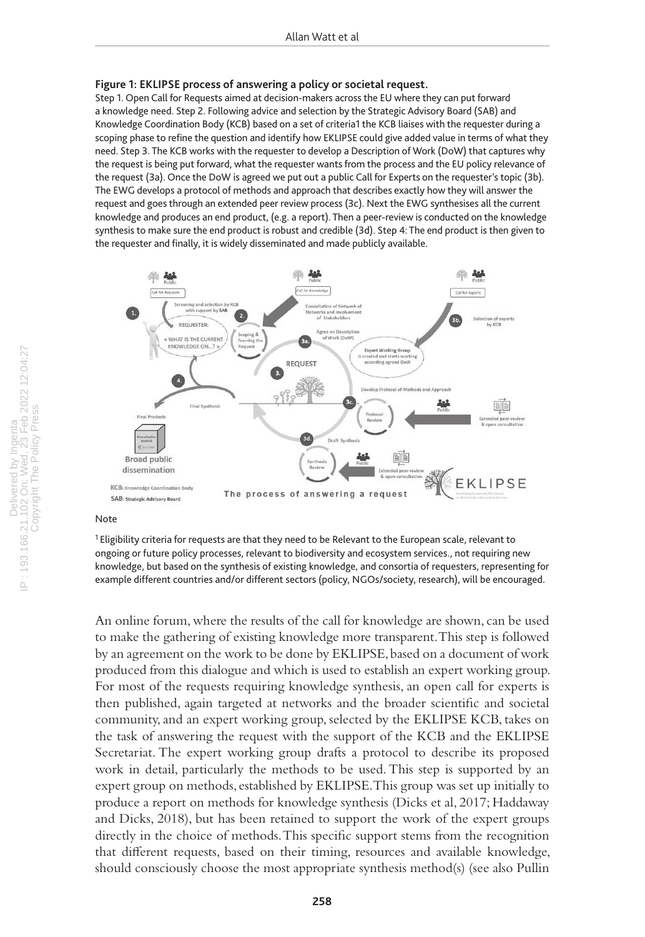#### **Figure 1: EKLIPSE process of answering a policy or societal request.**

Step 1. Open Call for Requests aimed at decision-makers across the EU where they can put forward a knowledge need. Step 2. Following advice and selection by the Strategic Advisory Board (SAB) and Knowledge Coordination Body (KCB) based on a set of criteria1 the KCB liaises with the requester during a scoping phase to refine the question and identify how EKLIPSE could give added value in terms of what they need. Step 3. The KCB works with the requester to develop a Description of Work (DoW) that captures why the request is being put forward, what the requester wants from the process and the EU policy relevance of the request (3a). Once the DoW is agreed we put out a public Call for Experts on the requester's topic (3b). The EWG develops a protocol of methods and approach that describes exactly how they will answer the request and goes through an extended peer review process (3c). Next the EWG synthesises all the current knowledge and produces an end product, (e.g. a report). Then a peer-review is conducted on the knowledge synthesis to make sure the end product is robust and credible (3d). Step 4: The end product is then given to the requester and finally, it is widely disseminated and made publicly available.



## Note

<sup>1</sup> Eligibility criteria for requests are that they need to be Relevant to the European scale, relevant to ongoing or future policy processes, relevant to biodiversity and ecosystem services., not requiring new knowledge, but based on the synthesis of existing knowledge, and consortia of requesters, representing for example different countries and/or different sectors (policy, NGOs/society, research), will be encouraged.

An online forum, where the results of the call for knowledge are shown, can be used to make the gathering of existing knowledge more transparent. This step is followed by an agreement on the work to be done by EKLIPSE, based on a document of work produced from this dialogue and which is used to establish an expert working group. For most of the requests requiring knowledge synthesis, an open call for experts is then published, again targeted at networks and the broader scientific and societal community, and an expert working group, selected by the EKLIPSE KCB, takes on the task of answering the request with the support of the KCB and the EKLIPSE Secretariat. The expert working group drafts a protocol to describe its proposed work in detail, particularly the methods to be used. This step is supported by an expert group on methods, established by EKLIPSE. This group was set up initially to produce a report on methods for knowledge synthesis (Dicks et al, 2017; Haddaway and Dicks, 2018), but has been retained to support the work of the expert groups directly in the choice of methods. This specific support stems from the recognition that different requests, based on their timing, resources and available knowledge, should consciously choose the most appropriate synthesis method(s) (see also Pullin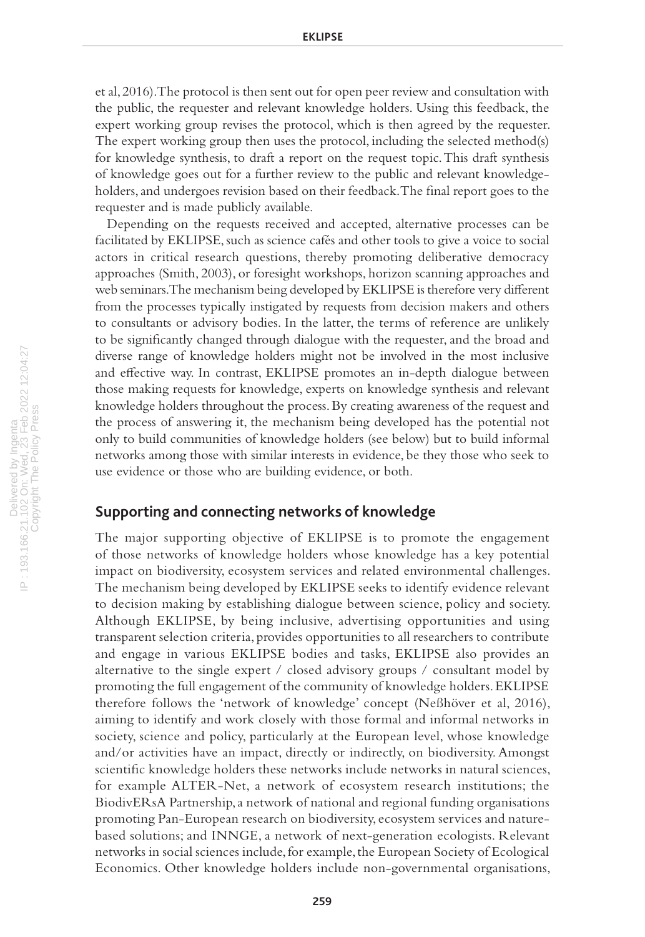et al, 2016). The protocol is then sent out for open peer review and consultation with the public, the requester and relevant knowledge holders. Using this feedback, the expert working group revises the protocol, which is then agreed by the requester. The expert working group then uses the protocol, including the selected method(s) for knowledge synthesis, to draft a report on the request topic. This draft synthesis of knowledge goes out for a further review to the public and relevant knowledgeholders, and undergoes revision based on their feedback. The final report goes to the requester and is made publicly available.

Depending on the requests received and accepted, alternative processes can be facilitated by EKLIPSE, such as science cafés and other tools to give a voice to social actors in critical research questions, thereby promoting deliberative democracy approaches (Smith, 2003), or foresight workshops, horizon scanning approaches and web seminars. The mechanism being developed by EKLIPSE is therefore very different from the processes typically instigated by requests from decision makers and others to consultants or advisory bodies. In the latter, the terms of reference are unlikely to be significantly changed through dialogue with the requester, and the broad and diverse range of knowledge holders might not be involved in the most inclusive and effective way. In contrast, EKLIPSE promotes an in-depth dialogue between those making requests for knowledge, experts on knowledge synthesis and relevant knowledge holders throughout the process. By creating awareness of the request and the process of answering it, the mechanism being developed has the potential not only to build communities of knowledge holders (see below) but to build informal networks among those with similar interests in evidence, be they those who seek to use evidence or those who are building evidence, or both.

# **Supporting and connecting networks of knowledge**

The major supporting objective of EKLIPSE is to promote the engagement of those networks of knowledge holders whose knowledge has a key potential impact on biodiversity, ecosystem services and related environmental challenges. The mechanism being developed by EKLIPSE seeks to identify evidence relevant to decision making by establishing dialogue between science, policy and society. Although EKLIPSE, by being inclusive, advertising opportunities and using transparent selection criteria, provides opportunities to all researchers to contribute and engage in various EKLIPSE bodies and tasks, EKLIPSE also provides an alternative to the single expert / closed advisory groups / consultant model by promoting the full engagement of the community of knowledge holders. EKLIPSE therefore follows the 'network of knowledge' concept (Neßhöver et al, 2016), aiming to identify and work closely with those formal and informal networks in society, science and policy, particularly at the European level, whose knowledge and/or activities have an impact, directly or indirectly, on biodiversity. Amongst scientific knowledge holders these networks include networks in natural sciences, for example ALTER-Net, a network of ecosystem research institutions; the BiodivERsA Partnership, a network of national and regional funding organisations promoting Pan-European research on biodiversity, ecosystem services and naturebased solutions; and INNGE, a network of next-generation ecologists. Relevant networks in social sciences include, for example, the European Society of Ecological Economics. Other knowledge holders include non-governmental organisations,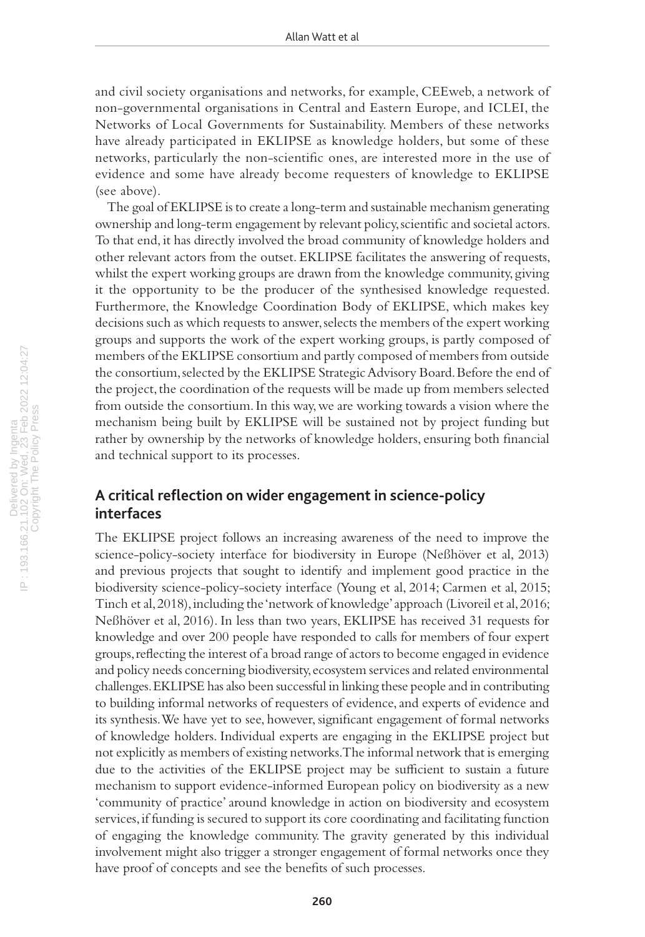and civil society organisations and networks, for example, CEEweb, a network of non-governmental organisations in Central and Eastern Europe, and ICLEI, the Networks of Local Governments for Sustainability. Members of these networks have already participated in EKLIPSE as knowledge holders, but some of these networks, particularly the non-scientific ones, are interested more in the use of evidence and some have already become requesters of knowledge to EKLIPSE (see above).

The goal of EKLIPSE is to create a long-term and sustainable mechanism generating ownership and long-term engagement by relevant policy, scientific and societal actors. To that end, it has directly involved the broad community of knowledge holders and other relevant actors from the outset. EKLIPSE facilitates the answering of requests, whilst the expert working groups are drawn from the knowledge community, giving it the opportunity to be the producer of the synthesised knowledge requested. Furthermore, the Knowledge Coordination Body of EKLIPSE, which makes key decisions such as which requests to answer, selects the members of the expert working groups and supports the work of the expert working groups, is partly composed of members of the EKLIPSE consortium and partly composed of members from outside the consortium, selected by the EKLIPSE Strategic Advisory Board. Before the end of the project, the coordination of the requests will be made up from members selected from outside the consortium. In this way, we are working towards a vision where the mechanism being built by EKLIPSE will be sustained not by project funding but rather by ownership by the networks of knowledge holders, ensuring both financial and technical support to its processes.

# **A critical reflection on wider engagement in science-policy interfaces**

The EKLIPSE project follows an increasing awareness of the need to improve the science-policy-society interface for biodiversity in Europe (Neßhöver et al, 2013) and previous projects that sought to identify and implement good practice in the biodiversity science-policy-society interface (Young et al, 2014; Carmen et al, 2015; Tinch et al, 2018), including the 'network of knowledge' approach (Livoreil et al, 2016; Neßhöver et al, 2016). In less than two years, EKLIPSE has received 31 requests for knowledge and over 200 people have responded to calls for members of four expert groups, reflecting the interest of a broad range of actors to become engaged in evidence and policy needs concerning biodiversity, ecosystem services and related environmental challenges. EKLIPSE has also been successful in linking these people and in contributing to building informal networks of requesters of evidence, and experts of evidence and its synthesis. We have yet to see, however, significant engagement of formal networks of knowledge holders. Individual experts are engaging in the EKLIPSE project but not explicitly as members of existing networks. The informal network that is emerging due to the activities of the EKLIPSE project may be sufficient to sustain a future mechanism to support evidence-informed European policy on biodiversity as a new 'community of practice' around knowledge in action on biodiversity and ecosystem services, if funding is secured to support its core coordinating and facilitating function of engaging the knowledge community. The gravity generated by this individual involvement might also trigger a stronger engagement of formal networks once they have proof of concepts and see the benefits of such processes.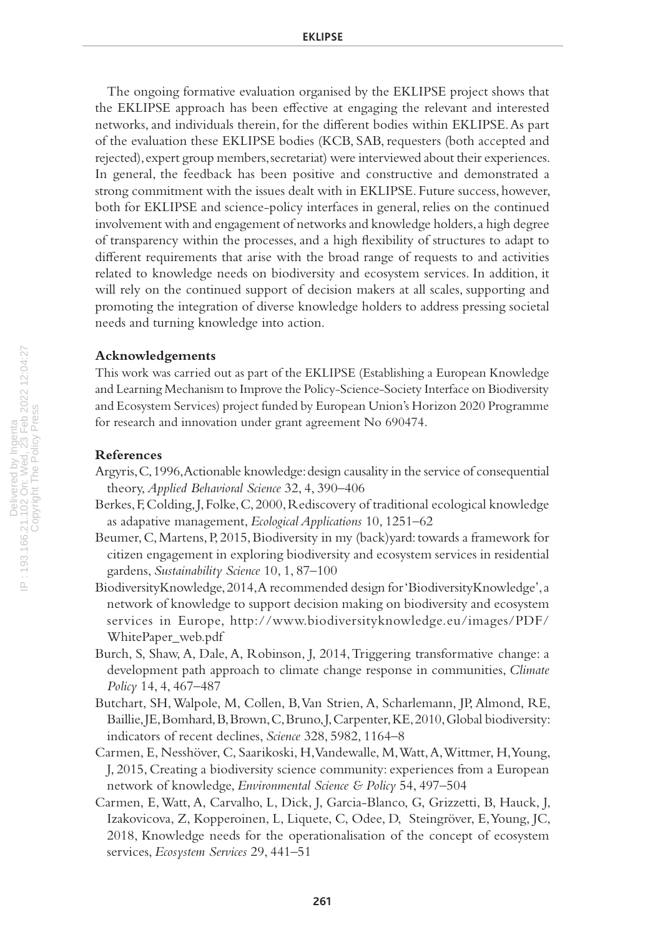The ongoing formative evaluation organised by the EKLIPSE project shows that the EKLIPSE approach has been effective at engaging the relevant and interested networks, and individuals therein, for the different bodies within EKLIPSE. As part of the evaluation these EKLIPSE bodies (KCB, SAB, requesters (both accepted and rejected), expert group members, secretariat) were interviewed about their experiences. In general, the feedback has been positive and constructive and demonstrated a strong commitment with the issues dealt with in EKLIPSE. Future success, however, both for EKLIPSE and science-policy interfaces in general, relies on the continued involvement with and engagement of networks and knowledge holders, a high degree of transparency within the processes, and a high flexibility of structures to adapt to different requirements that arise with the broad range of requests to and activities related to knowledge needs on biodiversity and ecosystem services. In addition, it will rely on the continued support of decision makers at all scales, supporting and promoting the integration of diverse knowledge holders to address pressing societal needs and turning knowledge into action.

## **Acknowledgements**

This work was carried out as part of the EKLIPSE (Establishing a European Knowledge and Learning Mechanism to Improve the Policy-Science-Society Interface on Biodiversity and Ecosystem Services) project funded by European Union's Horizon 2020 Programme for research and innovation under grant agreement No 690474.

## **References**

- Argyris, C, 1996, Actionable knowledge: design causality in the service of consequential theory, *Applied Behavioral Science* 32, 4, 390–406
- Berkes, F, Colding, J, Folke, C, 2000, Rediscovery of traditional ecological knowledge as adapative management, *Ecological Applications* 10, 1251–62
- Beumer, C, Martens, P, 2015, Biodiversity in my (back)yard: towards a framework for citizen engagement in exploring biodiversity and ecosystem services in residential gardens, *Sustainability Science* 10, 1, 87–100
- BiodiversityKnowledge, 2014, A recommended design for 'BiodiversityKnowledge', a network of knowledge to support decision making on biodiversity and ecosystem services in Europe, http://www.biodiversityknowledge.eu/images/PDF/ WhitePaper\_web.pdf
- Burch, S, Shaw, A, Dale, A, Robinson, J, 2014, Triggering transformative change: a development path approach to climate change response in communities, *Climate Policy* 14, 4, 467–487
- Butchart, SH, Walpole, M, Collen, B, Van Strien, A, Scharlemann, JP, Almond, RE, Baillie, JE, Bomhard, B, Brown, C, Bruno, J, Carpenter, KE, 2010, Global biodiversity: indicators of recent declines, *Science* 328, 5982, 1164–8
- Carmen, E, Nesshöver, C, Saarikoski, H, Vandewalle, M, Watt, A, Wittmer, H, Young, J, 2015, Creating a biodiversity science community: experiences from a European network of knowledge, *Environmental Science & Policy* 54, 497–504
- Carmen, E, Watt, A, Carvalho, L, Dick, J, Garcia-Blanco, G, Grizzetti, B, Hauck, J, Izakovicova, Z, Kopperoinen, L, Liquete, C, Odee, D, Steingröver, E, Young, JC, 2018, Knowledge needs for the operationalisation of the concept of ecosystem services, *Ecosystem Services* 29, 441–51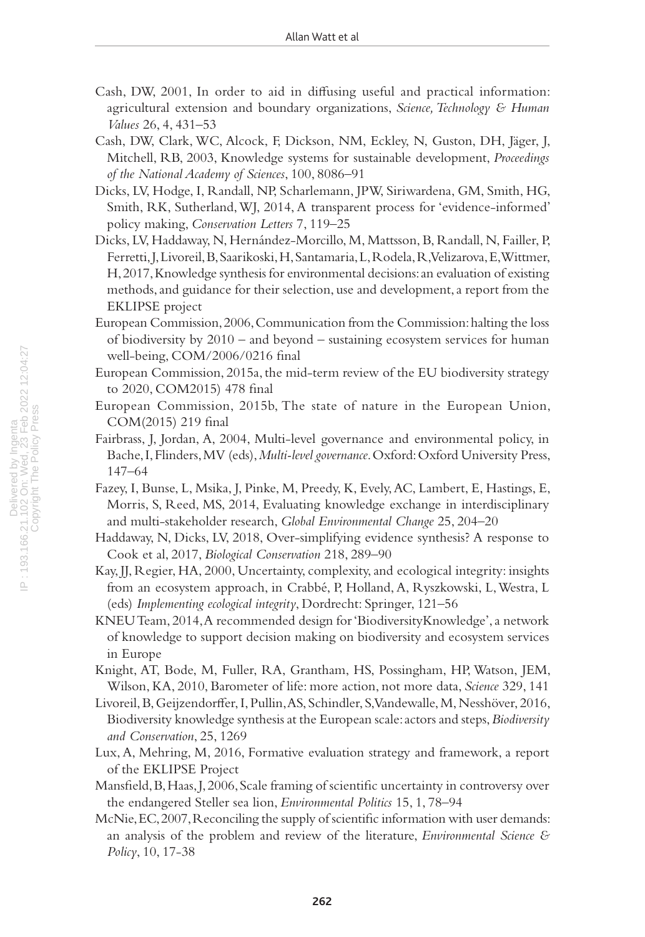- Cash, DW, 2001, In order to aid in diffusing useful and practical information: agricultural extension and boundary organizations, *Science, Technology & Human Values* 26, 4, 431–53
- Cash, DW, Clark, WC, Alcock, F, Dickson, NM, Eckley, N, Guston, DH, Jäger, J, Mitchell, RB, 2003, Knowledge systems for sustainable development, *Proceedings of the National Academy of Sciences*, 100, 8086–91
- Dicks, LV, Hodge, I, Randall, NP, Scharlemann, JPW, Siriwardena, GM, Smith, HG, Smith, RK, Sutherland, WJ, 2014, A transparent process for 'evidence-informed' policy making, *Conservation Letters* 7, 119–25
- Dicks, LV, Haddaway, N, Hernández-Morcillo, M, Mattsson, B, Randall, N, Failler, P, Ferretti, J, Livoreil, B, Saarikoski, H, Santamaria, L, Rodela, R, Velizarova, E, Wittmer, H, 2017, Knowledge synthesis for environmental decisions: an evaluation of existing methods, and guidance for their selection, use and development, a report from the EKLIPSE project
- European Commission, 2006, Communication from the Commission: halting the loss of biodiversity by 2010 – and beyond – sustaining ecosystem services for human well-being, COM/2006/0216 final
- European Commission, 2015a, the mid-term review of the EU biodiversity strategy to 2020, COM2015) 478 final
- European Commission, 2015b, The state of nature in the European Union, COM(2015) 219 final
- Fairbrass, J, Jordan, A, 2004, Multi-level governance and environmental policy, in Bache, I, Flinders, MV (eds), *Multi-level governance*. Oxford: Oxford University Press, 147–64
- Fazey, I, Bunse, L, Msika, J, Pinke, M, Preedy, K, Evely, AC, Lambert, E, Hastings, E, Morris, S, Reed, MS, 2014, Evaluating knowledge exchange in interdisciplinary and multi-stakeholder research, *Global Environmental Change* 25, 204–20
- Haddaway, N, Dicks, LV, 2018, Over-simplifying evidence synthesis? A response to Cook et al, 2017, *Biological Conservation* 218, 289–90
- Kay, JJ, Regier, HA, 2000, Uncertainty, complexity, and ecological integrity: insights from an ecosystem approach, in Crabbé, P, Holland, A, Ryszkowski, L, Westra, L (eds) *Implementing ecological integrity*, Dordrecht: Springer, 121–56
- KNEU Team, 2014, A recommended design for 'BiodiversityKnowledge', a network of knowledge to support decision making on biodiversity and ecosystem services in Europe
- Knight, AT, Bode, M, Fuller, RA, Grantham, HS, Possingham, HP, Watson, JEM, Wilson, KA, 2010, Barometer of life: more action, not more data, *Science* 329, 141
- Livoreil, B, Geijzendorffer, I, Pullin, AS, Schindler, S, Vandewalle, M, Nesshöver, 2016, Biodiversity knowledge synthesis at the European scale: actors and steps, *Biodiversity and Conservation*, 25, 1269
- Lux, A, Mehring, M, 2016, Formative evaluation strategy and framework, a report of the EKLIPSE Project
- Mansfield, B, Haas, J, 2006, Scale framing of scientific uncertainty in controversy over the endangered Steller sea lion, *Environmental Politics* 15, 1, 78–94
- McNie, EC, 2007, Reconciling the supply of scientific information with user demands: an analysis of the problem and review of the literature, *Environmental Science & Policy*, 10, 17-38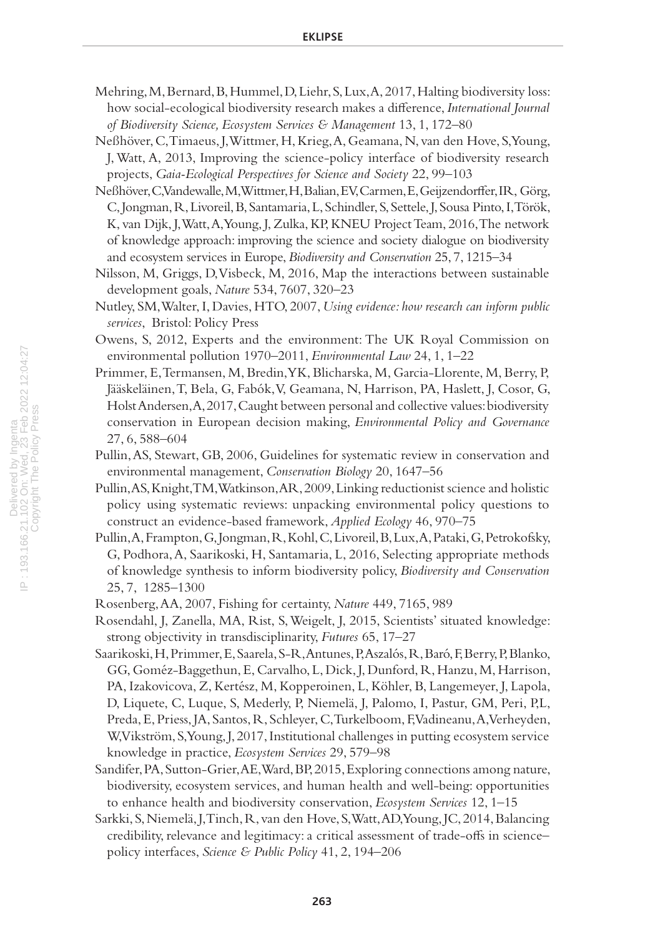- Mehring, M, Bernard, B, Hummel, D, Liehr, S, Lux, A, 2017, Halting biodiversity loss: how social-ecological biodiversity research makes a difference, *International Journal of Biodiversity Science, Ecosystem Services & Management* 13, 1, 172–80
- Neßhöver, C, Timaeus, J, Wittmer, H, Krieg, A, Geamana, N, van den Hove, S, Young, J, Watt, A, 2013, Improving the science-policy interface of biodiversity research projects, *Gaia-Ecological Perspectives for Science and Society* 22, 99–103
- Neßhöver, C, Vandewalle, M, Wittmer, H, Balian, EV, Carmen, E, Geijzendorffer, IR, Görg, C, Jongman, R, Livoreil, B, Santamaria, L, Schindler, S, Settele, J, Sousa Pinto, I, Török, K, van Dijk, J, Watt, A, Young, J, Zulka, KP, KNEU Project Team, 2016, The network of knowledge approach: improving the science and society dialogue on biodiversity and ecosystem services in Europe, *Biodiversity and Conservation* 25, 7, 1215–34
- Nilsson, M, Griggs, D, Visbeck, M, 2016, Map the interactions between sustainable development goals, *Nature* 534, 7607, 320–23
- Nutley, SM, Walter, I, Davies, HTO, 2007, *Using evidence: how research can inform public services*, Bristol: Policy Press
- Owens, S, 2012, Experts and the environment: The UK Royal Commission on environmental pollution 1970–2011, *Environmental Law* 24, 1, 1–22
- Primmer, E, Termansen, M, Bredin, YK, Blicharska, M, Garcia-Llorente, M, Berry, P, Jääskeläinen, T, Bela, G, Fabók, V, Geamana, N, Harrison, PA, Haslett, J, Cosor, G, Holst Andersen, A, 2017, Caught between personal and collective values: biodiversity conservation in European decision making, *Environmental Policy and Governance* 27, 6, 588–604
- Pullin, AS, Stewart, GB, 2006, Guidelines for systematic review in conservation and environmental management, *Conservation Biology* 20, 1647–56
- Pullin, AS, Knight, TM, Watkinson, AR, 2009, Linking reductionist science and holistic policy using systematic reviews: unpacking environmental policy questions to construct an evidence-based framework, *Applied Ecology* 46, 970–75
- Pullin, A, Frampton, G, Jongman, R, Kohl, C, Livoreil, B, Lux, A, Pataki, G, Petrokofsky, G, Podhora, A, Saarikoski, H, Santamaria, L, 2016, Selecting appropriate methods of knowledge synthesis to inform biodiversity policy, *Biodiversity and Conservation* 25, 7, 1285–1300
- Rosenberg, AA, 2007, Fishing for certainty, *Nature* 449, 7165, 989
- Rosendahl, J, Zanella, MA, Rist, S, Weigelt, J, 2015, Scientists' situated knowledge: strong objectivity in transdisciplinarity, *Futures* 65, 17–27
- Saarikoski, H, Primmer, E, Saarela, S-R, Antunes, P, Aszalós, R, Baró, F, Berry, P, Blanko, GG, Goméz-Baggethun, E, Carvalho, L, Dick, J, Dunford, R, Hanzu, M, Harrison, PA, Izakovicova, Z, Kertész, M, Kopperoinen, L, Köhler, B, Langemeyer, J, Lapola, D, Liquete, C, Luque, S, Mederly, P, Niemelä, J, Palomo, I, Pastur, GM, Peri, P,L, Preda, E, Priess, JA, Santos, R, Schleyer, C, Turkelboom, F, Vadineanu, A, Verheyden, W, Vikström, S, Young, J, 2017, Institutional challenges in putting ecosystem service knowledge in practice, *Ecosystem Services* 29, 579–98
- Sandifer, PA, Sutton-Grier, AE, Ward, BP, 2015, Exploring connections among nature, biodiversity, ecosystem services, and human health and well-being: opportunities to enhance health and biodiversity conservation, *Ecosystem Services* 12, 1–15
- Sarkki, S, Niemelä, J, Tinch, R, van den Hove, S, Watt, AD, Young, JC, 2014, Balancing credibility, relevance and legitimacy: a critical assessment of trade-offs in science– policy interfaces, *Science & Public Policy* 41, 2, 194–206